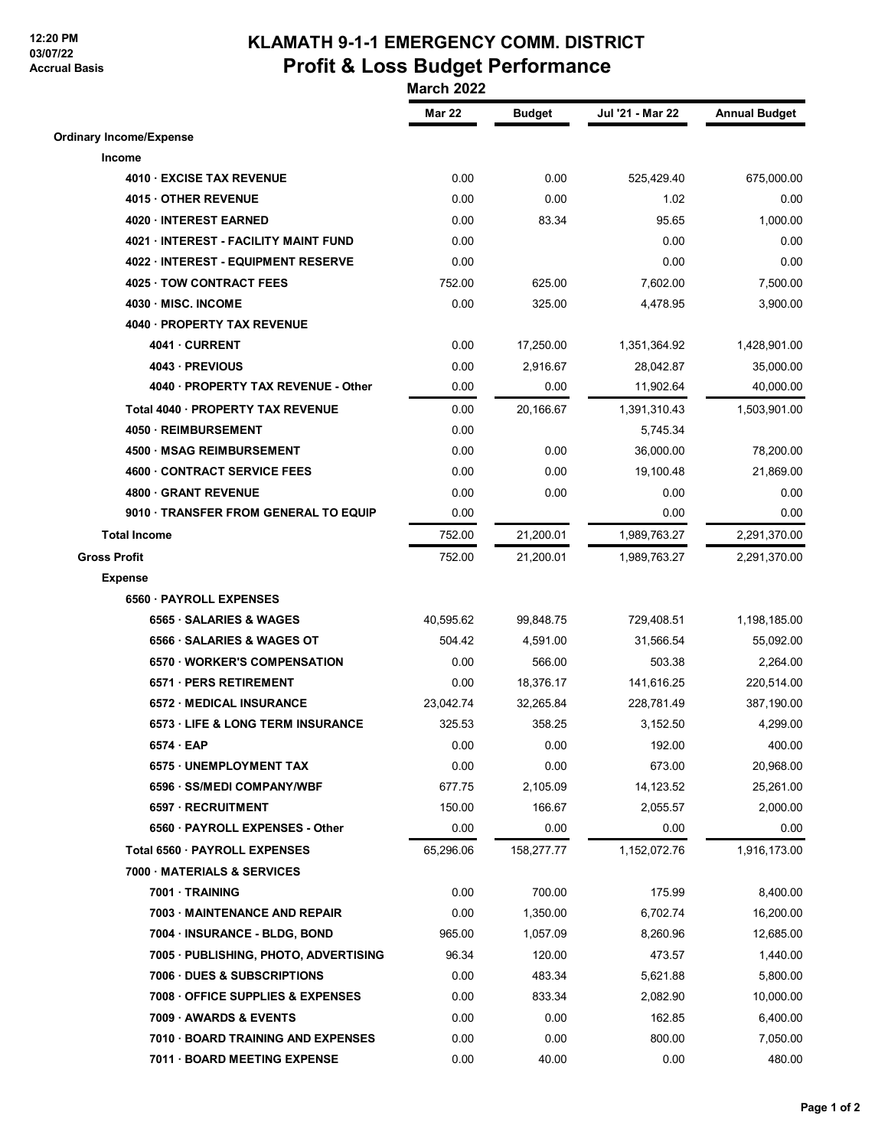## **12:20 PM 03/07/22 Accrual Basis**

## **KLAMATH 9-1-1 EMERGENCY COMM. DISTRICT Profit & Loss Budget Performance**

 **March 2022**

|                                       | <b>Mar 22</b> | <b>Budget</b> | Jul '21 - Mar 22 | <b>Annual Budget</b> |
|---------------------------------------|---------------|---------------|------------------|----------------------|
| <b>Ordinary Income/Expense</b>        |               |               |                  |                      |
| Income                                |               |               |                  |                      |
| 4010 EXCISE TAX REVENUE               | 0.00          | 0.00          | 525,429.40       | 675,000.00           |
| 4015 OTHER REVENUE                    | 0.00          | 0.00          | 1.02             | 0.00                 |
| 4020 INTEREST EARNED                  | 0.00          | 83.34         | 95.65            | 1,000.00             |
| 4021 INTEREST - FACILITY MAINT FUND   | 0.00          |               | 0.00             | 0.00                 |
| 4022 INTEREST - EQUIPMENT RESERVE     | 0.00          |               | 0.00             | 0.00                 |
| 4025 TOW CONTRACT FEES                | 752.00        | 625.00        | 7,602.00         | 7,500.00             |
| 4030 · MISC. INCOME                   | 0.00          | 325.00        | 4,478.95         | 3,900.00             |
| 4040 · PROPERTY TAX REVENUE           |               |               |                  |                      |
| 4041 CURRENT                          | 0.00          | 17,250.00     | 1,351,364.92     | 1,428,901.00         |
| 4043 - PREVIOUS                       | 0.00          | 2,916.67      | 28,042.87        | 35,000.00            |
| 4040 · PROPERTY TAX REVENUE - Other   | 0.00          | 0.00          | 11,902.64        | 40,000.00            |
| Total 4040 · PROPERTY TAX REVENUE     | 0.00          | 20,166.67     | 1,391,310.43     | 1,503,901.00         |
| 4050 · REIMBURSEMENT                  | 0.00          |               | 5,745.34         |                      |
| 4500 · MSAG REIMBURSEMENT             | 0.00          | 0.00          | 36,000.00        | 78,200.00            |
| 4600 CONTRACT SERVICE FEES            | 0.00          | 0.00          | 19,100.48        | 21,869.00            |
| 4800 GRANT REVENUE                    | 0.00          | 0.00          | 0.00             | 0.00                 |
| 9010 · TRANSFER FROM GENERAL TO EQUIP | 0.00          |               | 0.00             | 0.00                 |
| <b>Total Income</b>                   | 752.00        | 21,200.01     | 1,989,763.27     | 2,291,370.00         |
| <b>Gross Profit</b>                   | 752.00        | 21,200.01     | 1,989,763.27     | 2,291,370.00         |
| <b>Expense</b>                        |               |               |                  |                      |
| 6560 PAYROLL EXPENSES                 |               |               |                  |                      |
| 6565 · SALARIES & WAGES               | 40,595.62     | 99,848.75     | 729,408.51       | 1,198,185.00         |
| 6566 · SALARIES & WAGES OT            | 504.42        | 4,591.00      | 31,566.54        | 55,092.00            |
| 6570 WORKER'S COMPENSATION            | 0.00          | 566.00        | 503.38           | 2,264.00             |
| 6571 · PERS RETIREMENT                | 0.00          | 18,376.17     | 141,616.25       | 220,514.00           |
| 6572 MEDICAL INSURANCE                | 23,042.74     | 32,265.84     | 228,781.49       | 387,190.00           |
| 6573 LIFE & LONG TERM INSURANCE       | 325.53        | 358.25        | 3,152.50         | 4,299.00             |
| 6574 EAP                              | 0.00          | 0.00          | 192.00           | 400.00               |
| 6575 · UNEMPLOYMENT TAX               | 0.00          | 0.00          | 673.00           | 20,968.00            |
| 6596 · SS/MEDI COMPANY/WBF            | 677.75        | 2,105.09      | 14,123.52        | 25,261.00            |
| 6597 · RECRUITMENT                    | 150.00        | 166.67        | 2,055.57         | 2,000.00             |
| 6560 · PAYROLL EXPENSES - Other       | 0.00          | 0.00          | 0.00             | 0.00                 |
| Total 6560 · PAYROLL EXPENSES         | 65,296.06     | 158,277.77    | 1,152,072.76     | 1,916,173.00         |
| 7000 MATERIALS & SERVICES             |               |               |                  |                      |
| 7001 TRAINING                         | 0.00          | 700.00        | 175.99           | 8,400.00             |
| 7003 MAINTENANCE AND REPAIR           | 0.00          | 1,350.00      | 6.702.74         | 16,200.00            |
| 7004 · INSURANCE - BLDG, BOND         | 965.00        | 1,057.09      | 8,260.96         | 12,685.00            |
| 7005 · PUBLISHING, PHOTO, ADVERTISING | 96.34         | 120.00        | 473.57           | 1,440.00             |
| <b>7006 DUES &amp; SUBSCRIPTIONS</b>  | 0.00          | 483.34        | 5,621.88         | 5,800.00             |
| 7008 OFFICE SUPPLIES & EXPENSES       | 0.00          | 833.34        | 2,082.90         | 10,000.00            |
| 7009 AWARDS & EVENTS                  | 0.00          | 0.00          | 162.85           | 6,400.00             |
| 7010 BOARD TRAINING AND EXPENSES      | 0.00          | 0.00          | 800.00           | 7,050.00             |
| 7011 BOARD MEETING EXPENSE            | 0.00          | 40.00         | 0.00             | 480.00               |